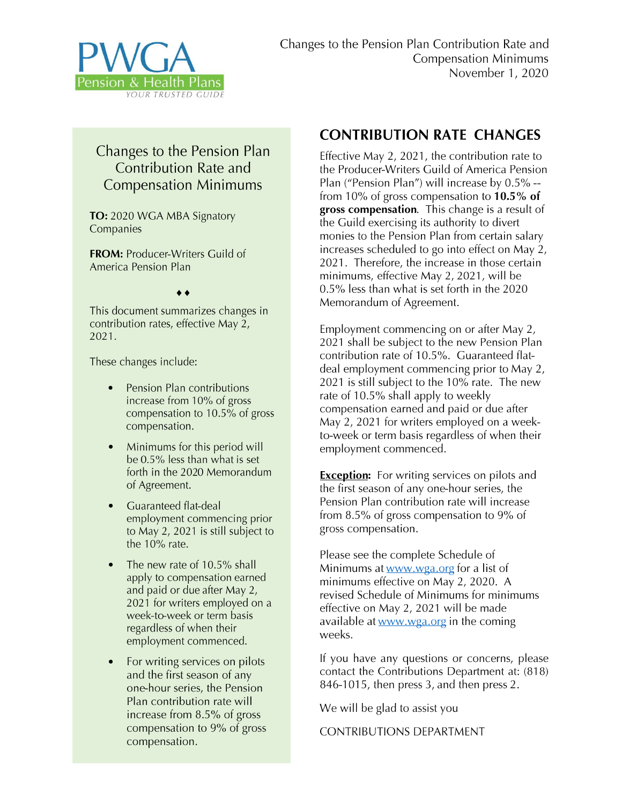

## Changes to the Pension Plan **Contribution Rate and Compensation Minimums**

TO: 2020 WGA MBA Signatory Companies

**FROM:** Producer-Writers Guild of America Pension Plan

 $\bullet$ 

This document summarizes changes in contribution rates, effective May 2, 2021.

These changes include:

- Pension Plan contributions increase from 10% of gross compensation to  $10.5\%$  of gross compensation.
- Minimums for this period will be 0.5% less than what is set forth in the 2020 Memorandum of Agreement.
- Guaranteed flat-deal employment commencing prior to May 2, 2021 is still subject to the  $10\%$  rate.
- The new rate of 10.5% shall apply to compensation earned and paid or due after May 2, 2021 for writers employed on a week-to-week or term basis regardless of when their employment commenced.
- For writing services on pilots and the first season of any one-hour series, the Pension Plan contribution rate will increase from 8.5% of gross compensation to 9% of gross compensation.

## **CONTRIBUTION RATE CHANGES**

Effective May 2, 2021, the contribution rate to the Producer-Writers Guild of America Pension Plan ("Pension Plan") will increase by 0.5% -from 10% of gross compensation to  $10.5\%$  of gross compensation. This change is a result of the Guild exercising its authority to divert monies to the Pension Plan from certain salary increases scheduled to go into effect on May 2, 2021. Therefore, the increase in those certain minimums, effective May 2, 2021, will be 0.5% less than what is set forth in the 2020 Memorandum of Agreement.

Employment commencing on or after May 2, 2021 shall be subject to the new Pension Plan contribution rate of 10.5%. Guaranteed flatdeal employment commencing prior to May 2, 2021 is still subject to the 10% rate. The new rate of 10.5% shall apply to weekly compensation earned and paid or due after May 2, 2021 for writers employed on a weekto-week or term basis regardless of when their employment commenced.

**Exception:** For writing services on pilots and the first season of any one-hour series, the Pension Plan contribution rate will increase from 8.5% of gross compensation to 9% of gross compensation.

Please see the complete Schedule of Minimums at www.wga.org for a list of minimums effective on May 2, 2020. A revised Schedule of Minimums for minimums effective on May 2, 2021 will be made available at www.wga.org in the coming weeks.

If you have any questions or concerns, please contact the Contributions Department at: (818) 846-1015, then press 3, and then press 2.

We will be glad to assist you

**CONTRIBUTIONS DEPARTMENT**